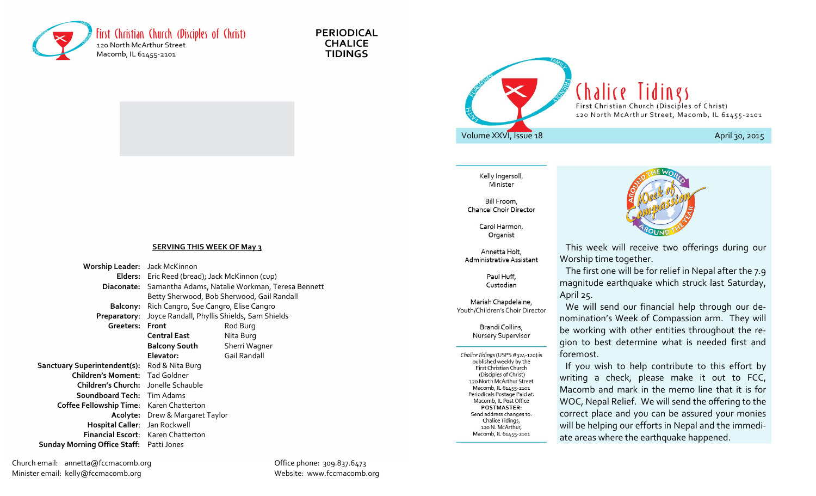

**PERIODICAL CHALICE TIDINGS** 



Kelly Ingersoll, Minister

Bill Froom, **Chancel Choir Director** 

> Carol Harmon. Organist

Annetta Holt, Administrative Assistant

> Paul Huff, Custodian

Mariah Chapdelaine, Youth/Children's Choir Director

> Brandi Collins, Nursery Supervisor

Chalice Tidings (USPS #324-120) is published weekly by the **First Christian Church** (Disciples of Christ) 120 North McArthur Street Macomb, IL 61455-2101 Periodicals Postage Paid at: Macomb, IL Post Office **POSTMASTER:** Send address changes to: Chalice Tidings, 120 N. McArthur, Macomb, IL 61455-2101



 This week will receive two offerings during our Worship time together.

 The first one will be for relief in Nepal after the 7.9 magnitude earthquake which struck last Saturday, April 25.

 We will send our financial help through our de- nomination's Week of Compassion arm. They will gion to best determine what is needed first and be working with other entities throughout the reforemost.

 If you wish to help contribute to this effort by writing a check, please make it out to FCC, Macomb and mark in the memo line that it is for WOC, Nepal Relief. We will send the offering to the correct place and you can be assured your monies will be helping our efforts in Nepal and the immediate areas where the earthquake happened.

#### **SERVING THIS WEEK OF May 3**

**Worship Leader:** Jack McKinnon **Elders:** Eric Reed (bread); Jack McKinnon (cup) **Diaconate:** Samantha Adams, Natalie Workman, Teresa Bennett Betty Sherwood, Bob Sherwood, Gail Randall **Balcony:** Rich Cangro, Sue Cangro, Elise Cangro **Preparatory**: Joyce Randall, Phyllis Shields, Sam Shields Greeters: Front **Rod Burg Central East** Nita Burg **Balcony South** Sherri Wagner **Elevator:** Gail Randall **Sanctuary Superintendent(s):** Rod & Nita Burg **Children's Moment:** Tad Goldner **Children's Church:** Jonelle Schauble **Soundboard Tech:** Tim Adams **Coffee Fellowship Time**: Karen Chatterton **Acolyte:** Drew & Margaret Taylor **Hospital Caller**: Jan Rockwell **Financial Escort**: Karen Chatterton  **Sunday Morning Office Staff:** Patti Jones

Church email: annetta@fccmacomb.org Office phone: 309.837.6473 Minister email: kelly@fccmacomb.org Website: www.fccmacomb.org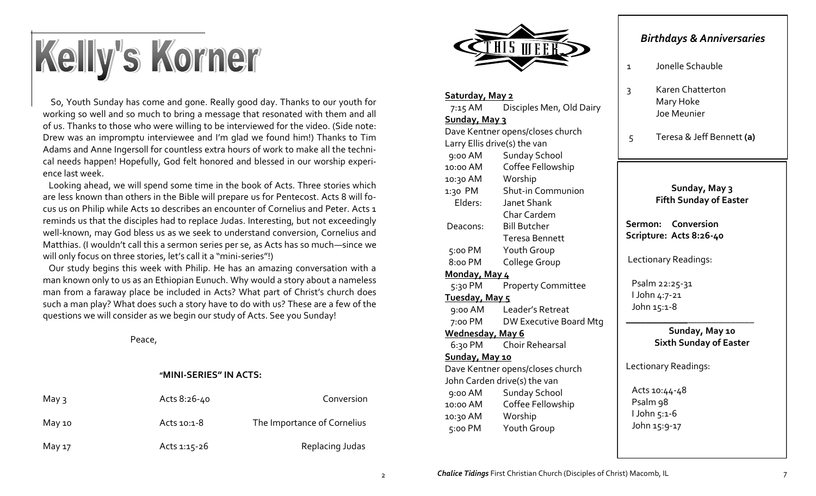# Kelly's Korner

 So, Youth Sunday has come and gone. Really good day. Thanks to our youth for working so well and so much to bring a message that resonated with them and all of us. Thanks to those who were willing to be interviewed for the video. (Side note: Drew was an impromptu interviewee and I'm glad we found him!) Thanks to Tim Adams and Anne Ingersoll for countless extra hours of work to make all the technical needs happen! Hopefully, God felt honored and blessed in our worship experience last week.

 Looking ahead, we will spend some time in the book of Acts. Three stories which are less known than others in the Bible will prepare us for Pentecost. Acts 8 will focus us on Philip while Acts 10 describes an encounter of Cornelius and Peter. Acts 1 reminds us that the disciples had to replace Judas. Interesting, but not exceedingly well-known, may God bless us as we seek to understand conversion, Cornelius and Matthias. (I wouldn't call this a sermon series per se, as Acts has so much—since we will only focus on three stories, let's call it a "mini-series"!)

 Our study begins this week with Philip. He has an amazing conversation with a man known only to us as an Ethiopian Eunuch. Why would a story about a nameless man from a faraway place be included in Acts? What part of Christ's church does such a man play? What does such a story have to do with us? These are a few of the questions we will consider as we begin our study of Acts. See you Sunday!

Peace,

#### **"MINI-SERIES" IN ACTS:**

| May $\overline{3}$ | Acts 8:26-40 | Conversion                  |
|--------------------|--------------|-----------------------------|
| May 10             | Acts 10:1-8  | The Importance of Cornelius |
| May 17             | Acts 1:15-26 | Replacing Judas             |



#### **Saturday, May 2**

 7:15 AM Disciples Men, Old Dairy **Sunday, May 3** Dave Kentner opens/closes church Larry Ellis drive(s) the van 9:00 AM Sunday School 10:00 AM Coffee Fellowship 10:30 AM Worship 1:30 PM Shut-in Communion Elders: Janet Shank Char Cardem Deacons: Bill Butcher Teresa Bennett 5:00 PM Youth Group 8:00 PM College Group **Monday, May 4** 5:30 PM Property Committee **Tuesday, May 5** 9:00 AM Leader's Retreat 7:00 PM DW Executive Board Mtg **Wednesday, May 6** 6:30 PM Choir Rehearsal **Sunday, May 10** Dave Kentner opens/closes church John Carden drive(s) the van 9:00 AM Sunday School 10:00 AM Coffee Fellowship

10:30 AM Worship 5:00 PM Youth Group

### *Birthdays & Anniversaries*

- 1 Jonelle Schauble
- 3 Karen Chatterton Mary Hoke Joe Meunier

5 Teresa & Jeff Bennett **(a)**

**Sunday, May 3 Fifth Sunday of Easter**

**Sermon: Conversion Scripture: Acts 8:26-40**

Lectionary Readings:

 Psalm 22:25-31 I John 4:7-21 John 15:1-8

> **Sunday, May 10 Sixth Sunday of Easter**

\_\_\_\_\_\_\_\_\_\_\_\_\_\_\_\_\_\_\_\_\_\_\_\_\_\_\_

Lectionary Readings:

 Acts 10:44-48 Psalm 98 I John 5:1-6 John 15:9-17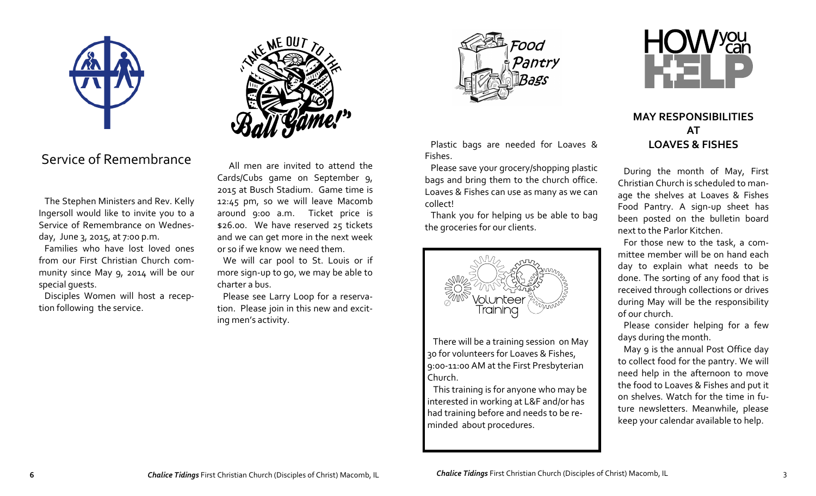

## Service of Remembrance

 The Stephen Ministers and Rev. Kelly Ingersoll would like to invite you to a Service of Remembrance on Wednesday, June 3, 2015, at 7:00 p.m.

 Families who have lost loved ones from our First Christian Church community since May 9, 2014 will be our special guests.

 Disciples Women will host a reception following the service.

 All men are invited to attend the Cards/Cubs game on September 9, 2015 at Busch Stadium. Game time is 12:45 pm, so we will leave Macomb around 9:00 a.m. Ticket price is \$26.00. We have reserved 25 tickets and we can get more in the next week or so if we know we need them.

We will car pool to St. Louis or if more sign-up to go, we may be able to charter a bus.

 Please see Larry Loop for a reservation. Please join in this new and exciting men's activity.



 Plastic bags are needed for Loaves & Fishes.

 Please save your grocery/shopping plastic bags and bring them to the church office. Loaves & Fishes can use as many as we can collect!

 Thank you for helping us be able to bag the groceries for our clients.



 There will be a training session on May 30 for volunteers for Loaves & Fishes, 9:00-11:00 AM at the First Presbyterian Church.

 This training is for anyone who may be interested in working at L&F and/or has had training before and needs to be reminded about procedures.



## **MAY RESPONSIBILITIES AT LOAVES & FISHES**

 During the month of May, First Christian Church is scheduled to manage the shelves at Loaves & Fishes Food Pantry. A sign-up sheet has been posted on the bulletin board next to the Parlor Kitchen.

 For those new to the task, a committee member will be on hand each day to explain what needs to be done. The sorting of any food that is received through collections or drives during May will be the responsibility of our church.

 Please consider helping for a few days during the month.

 May 9 is the annual Post Office day to collect food for the pantry. We will need help in the afternoon to move the food to Loaves & Fishes and put it on shelves. Watch for the time in future newsletters. Meanwhile, please keep your calendar available to help.